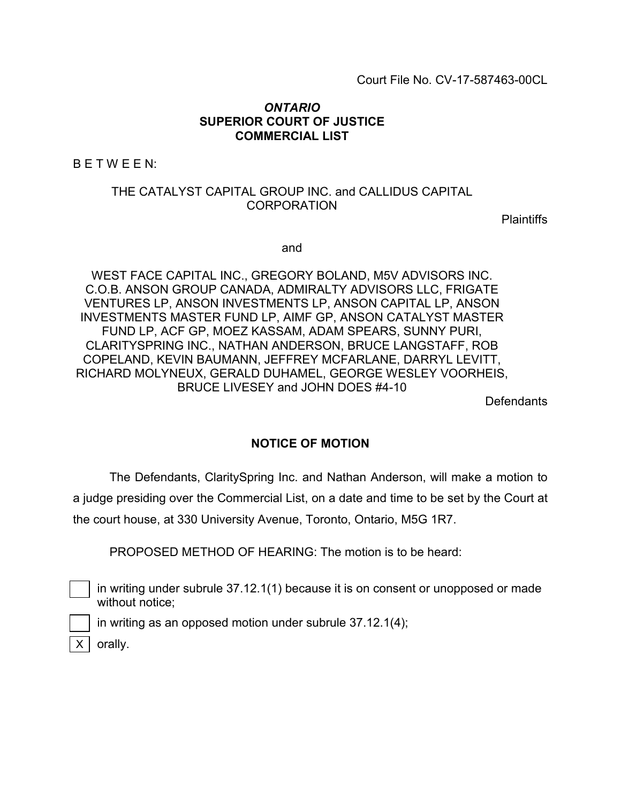Court File No. CV-17-587463-00CL

## *ONTARIO* **SUPERIOR COURT OF JUSTICE COMMERCIAL LIST**

 $B$  F T W F F N $\cdot$ 

# THE CATALYST CAPITAL GROUP INC. and CALLIDUS CAPITAL **CORPORATION**

Plaintiffs

and

WEST FACE CAPITAL INC., GREGORY BOLAND, M5V ADVISORS INC. C.O.B. ANSON GROUP CANADA, ADMIRALTY ADVISORS LLC, FRIGATE VENTURES LP, ANSON INVESTMENTS LP, ANSON CAPITAL LP, ANSON INVESTMENTS MASTER FUND LP, AIMF GP, ANSON CATALYST MASTER FUND LP, ACF GP, MOEZ KASSAM, ADAM SPEARS, SUNNY PURI, CLARITYSPRING INC., NATHAN ANDERSON, BRUCE LANGSTAFF, ROB COPELAND, KEVIN BAUMANN, JEFFREY MCFARLANE, DARRYL LEVITT, RICHARD MOLYNEUX, GERALD DUHAMEL, GEORGE WESLEY VOORHEIS, BRUCE LIVESEY and JOHN DOES #4-10

**Defendants** 

## **NOTICE OF MOTION**

The Defendants, ClaritySpring Inc. and Nathan Anderson, will make a motion to a judge presiding over the Commercial List, on a date and time to be set by the Court at the court house, at 330 University Avenue, Toronto, Ontario, M5G 1R7.

PROPOSED METHOD OF HEARING: The motion is to be heard:

in writing under subrule 37.12.1(1) because it is on consent or unopposed or made without notice;

in writing as an opposed motion under subrule 37.12.1(4);

orally.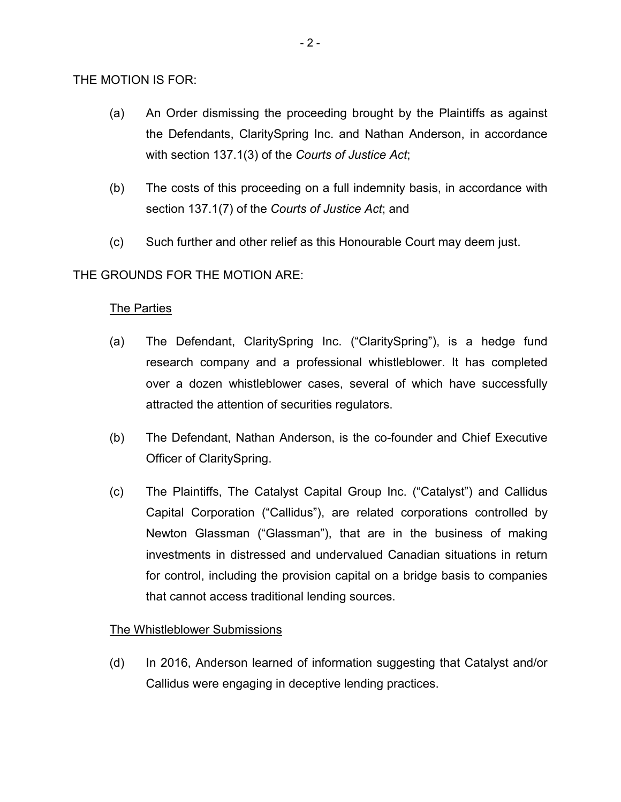THE MOTION IS FOR:

- (a) An Order dismissing the proceeding brought by the Plaintiffs as against the Defendants, ClaritySpring Inc. and Nathan Anderson, in accordance with section 137.1(3) of the *Courts of Justice Act*;
- (b) The costs of this proceeding on a full indemnity basis, in accordance with section 137.1(7) of the *Courts of Justice Act*; and
- (c) Such further and other relief as this Honourable Court may deem just.

# THE GROUNDS FOR THE MOTION ARE:

# The Parties

- (a) The Defendant, ClaritySpring Inc. ("ClaritySpring"), is a hedge fund research company and a professional whistleblower. It has completed over a dozen whistleblower cases, several of which have successfully attracted the attention of securities regulators.
- (b) The Defendant, Nathan Anderson, is the co-founder and Chief Executive Officer of ClaritySpring.
- (c) The Plaintiffs, The Catalyst Capital Group Inc. ("Catalyst") and Callidus Capital Corporation ("Callidus"), are related corporations controlled by Newton Glassman ("Glassman"), that are in the business of making investments in distressed and undervalued Canadian situations in return for control, including the provision capital on a bridge basis to companies that cannot access traditional lending sources.

# The Whistleblower Submissions

(d) In 2016, Anderson learned of information suggesting that Catalyst and/or Callidus were engaging in deceptive lending practices.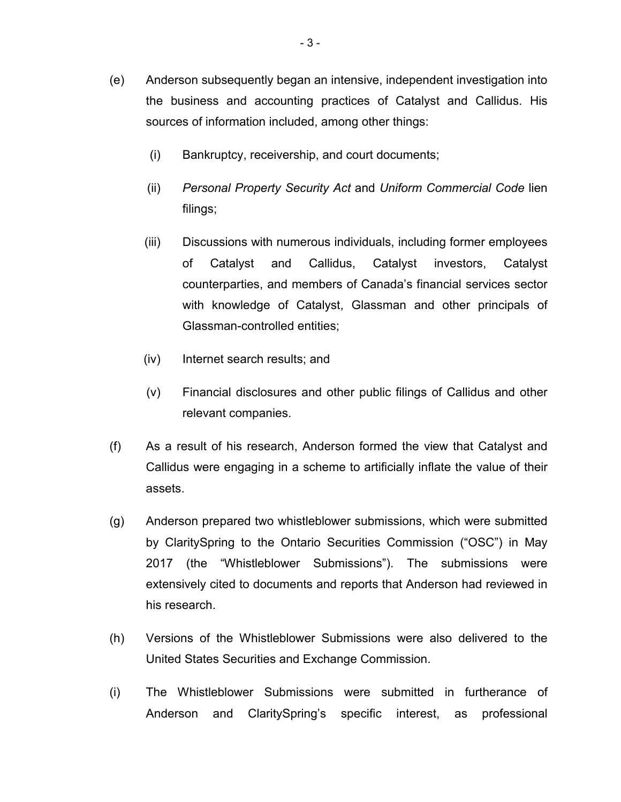- (e) Anderson subsequently began an intensive, independent investigation into the business and accounting practices of Catalyst and Callidus. His sources of information included, among other things:
	- (i) Bankruptcy, receivership, and court documents;
	- (ii) *Personal Property Security Act* and *Uniform Commercial Code* lien filings;
	- (iii) Discussions with numerous individuals, including former employees of Catalyst and Callidus, Catalyst investors, Catalyst counterparties, and members of Canada's financial services sector with knowledge of Catalyst, Glassman and other principals of Glassman-controlled entities;
	- (iv) Internet search results; and
	- (v) Financial disclosures and other public filings of Callidus and other relevant companies.
- (f) As a result of his research, Anderson formed the view that Catalyst and Callidus were engaging in a scheme to artificially inflate the value of their assets.
- (g) Anderson prepared two whistleblower submissions, which were submitted by ClaritySpring to the Ontario Securities Commission ("OSC") in May 2017 (the "Whistleblower Submissions"). The submissions were extensively cited to documents and reports that Anderson had reviewed in his research.
- (h) Versions of the Whistleblower Submissions were also delivered to the United States Securities and Exchange Commission.
- (i) The Whistleblower Submissions were submitted in furtherance of Anderson and ClaritySpring's specific interest, as professional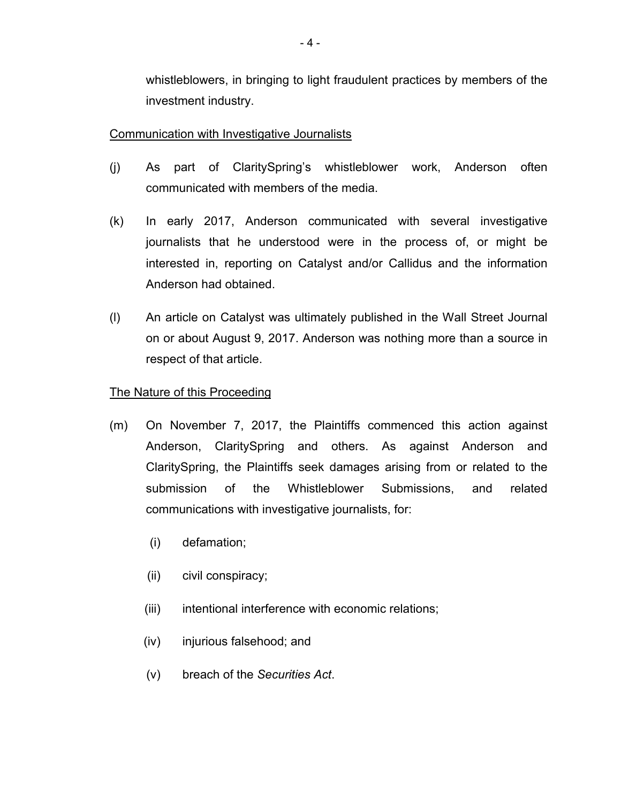whistleblowers, in bringing to light fraudulent practices by members of the investment industry.

# Communication with Investigative Journalists

- (j) As part of ClaritySpring's whistleblower work, Anderson often communicated with members of the media.
- (k) In early 2017, Anderson communicated with several investigative journalists that he understood were in the process of, or might be interested in, reporting on Catalyst and/or Callidus and the information Anderson had obtained.
- (l) An article on Catalyst was ultimately published in the Wall Street Journal on or about August 9, 2017. Anderson was nothing more than a source in respect of that article.

# The Nature of this Proceeding

- (m) On November 7, 2017, the Plaintiffs commenced this action against Anderson, ClaritySpring and others. As against Anderson and ClaritySpring, the Plaintiffs seek damages arising from or related to the submission of the Whistleblower Submissions, and related communications with investigative journalists, for:
	- (i) defamation;
	- (ii) civil conspiracy;
	- (iii) intentional interference with economic relations;
	- (iv) injurious falsehood; and
	- (v) breach of the *Securities Act*.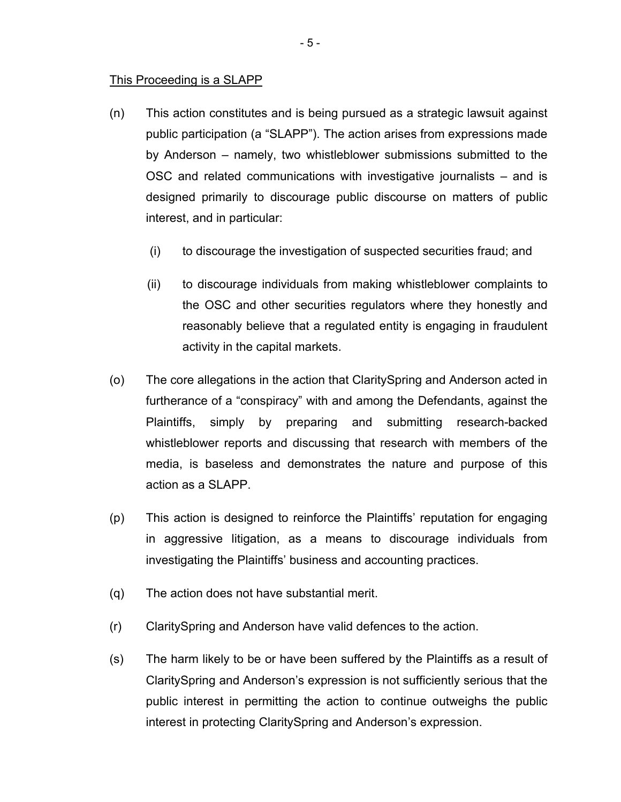#### This Proceeding is a SLAPP

- (n) This action constitutes and is being pursued as a strategic lawsuit against public participation (a "SLAPP"). The action arises from expressions made by Anderson – namely, two whistleblower submissions submitted to the OSC and related communications with investigative journalists – and is designed primarily to discourage public discourse on matters of public interest, and in particular:
	- (i) to discourage the investigation of suspected securities fraud; and
	- (ii) to discourage individuals from making whistleblower complaints to the OSC and other securities regulators where they honestly and reasonably believe that a regulated entity is engaging in fraudulent activity in the capital markets.
- (o) The core allegations in the action that ClaritySpring and Anderson acted in furtherance of a "conspiracy" with and among the Defendants, against the Plaintiffs, simply by preparing and submitting research-backed whistleblower reports and discussing that research with members of the media, is baseless and demonstrates the nature and purpose of this action as a SLAPP.
- (p) This action is designed to reinforce the Plaintiffs' reputation for engaging in aggressive litigation, as a means to discourage individuals from investigating the Plaintiffs' business and accounting practices.
- (q) The action does not have substantial merit.
- (r) ClaritySpring and Anderson have valid defences to the action.
- (s) The harm likely to be or have been suffered by the Plaintiffs as a result of ClaritySpring and Anderson's expression is not sufficiently serious that the public interest in permitting the action to continue outweighs the public interest in protecting ClaritySpring and Anderson's expression.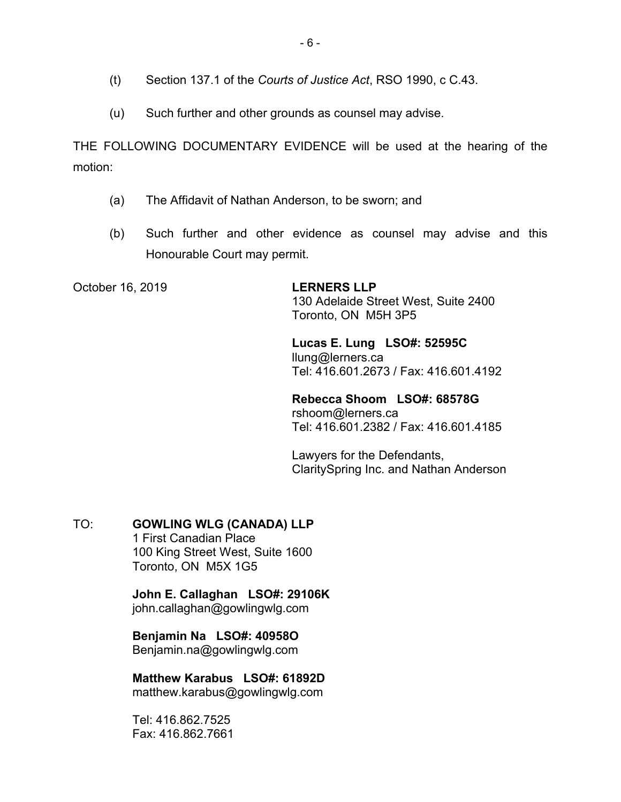- (t) Section 137.1 of the *Courts of Justice Act*, RSO 1990, c C.43.
- (u) Such further and other grounds as counsel may advise.

THE FOLLOWING DOCUMENTARY EVIDENCE will be used at the hearing of the motion:

- (a) The Affidavit of Nathan Anderson, to be sworn; and
- (b) Such further and other evidence as counsel may advise and this Honourable Court may permit.

October 16, 2019 **LERNERS LLP**

130 Adelaide Street West, Suite 2400 Toronto, ON M5H 3P5

**Lucas E. Lung LSO#: 52595C** llung@lerners.ca Tel: 416.601.2673 / Fax: 416.601.4192

**Rebecca Shoom LSO#: 68578G** rshoom@lerners.ca Tel: 416.601.2382 / Fax: 416.601.4185

Lawyers for the Defendants, ClaritySpring Inc. and Nathan Anderson

TO: **GOWLING WLG (CANADA) LLP** 1 First Canadian Place 100 King Street West, Suite 1600 Toronto, ON M5X 1G5

> **John E. Callaghan LSO#: 29106K** john.callaghan@gowlingwlg.com

**Benjamin Na LSO#: 40958O** Benjamin.na@gowlingwlg.com

**Matthew Karabus LSO#: 61892D** matthew.karabus@gowlingwlg.com

Tel: 416.862.7525 Fax: 416.862.7661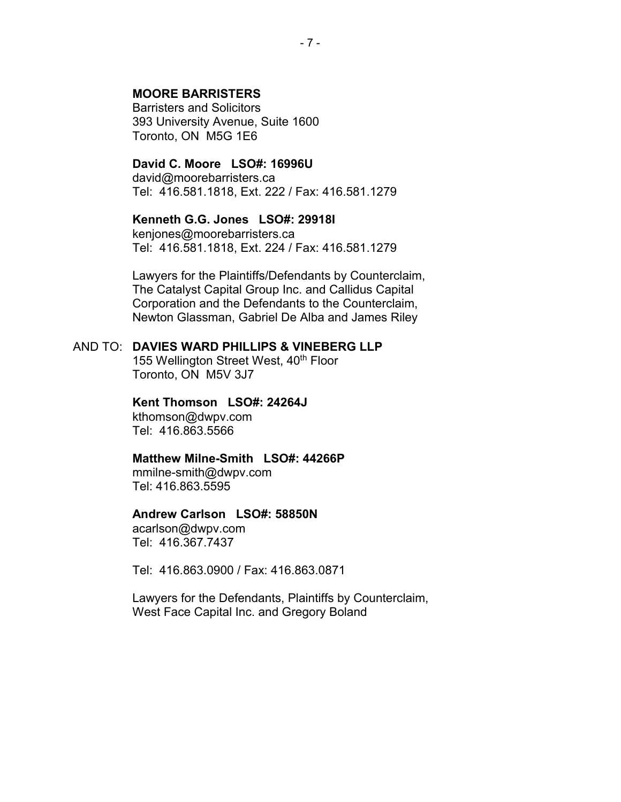# **MOORE BARRISTERS**

Barristers and Solicitors 393 University Avenue, Suite 1600 Toronto, ON M5G 1E6

#### **David C. Moore LSO#: 16996U**

david@moorebarristers.ca Tel: 416.581.1818, Ext. 222 / Fax: 416.581.1279

# **Kenneth G.G. Jones LSO#: 29918I**

kenjones@moorebarristers.ca Tel: 416.581.1818, Ext. 224 / Fax: 416.581.1279

Lawyers for the Plaintiffs/Defendants by Counterclaim, The Catalyst Capital Group Inc. and Callidus Capital Corporation and the Defendants to the Counterclaim, Newton Glassman, Gabriel De Alba and James Riley

# AND TO: **DAVIES WARD PHILLIPS & VINEBERG LLP**

155 Wellington Street West, 40<sup>th</sup> Floor Toronto, ON M5V 3J7

# **Kent Thomson LSO#: 24264J**

kthomson@dwpv.com Tel: 416.863.5566

## **Matthew Milne-Smith LSO#: 44266P**

mmilne-smith@dwpv.com Tel: 416.863.5595

#### **Andrew Carlson LSO#: 58850N**

acarlson@dwpv.com Tel: 416.367.7437

Tel: 416.863.0900 / Fax: 416.863.0871

Lawyers for the Defendants, Plaintiffs by Counterclaim, West Face Capital Inc. and Gregory Boland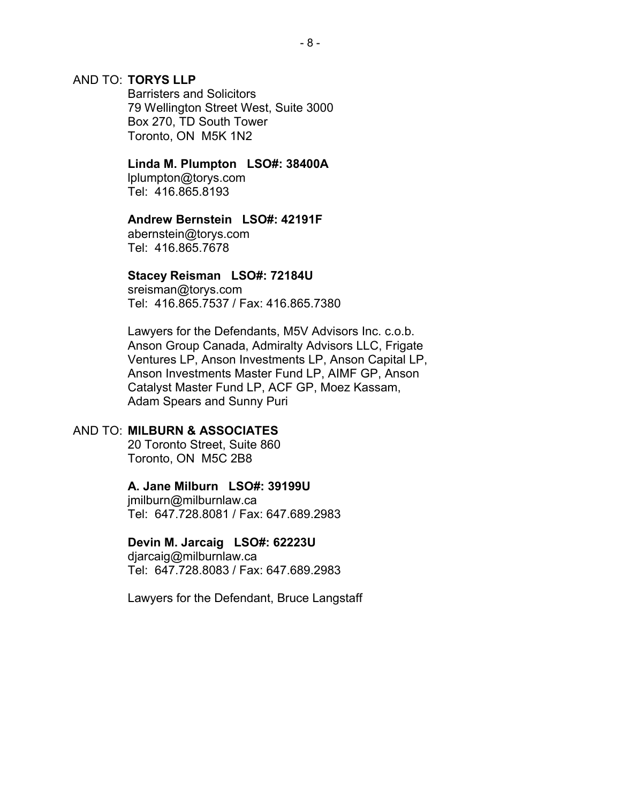## AND TO: **TORYS LLP**

Barristers and Solicitors 79 Wellington Street West, Suite 3000 Box 270, TD South Tower Toronto, ON M5K 1N2

#### **Linda M. Plumpton LSO#: 38400A**

lplumpton@torys.com Tel: 416.865.8193

#### **Andrew Bernstein LSO#: 42191F**

abernstein@torys.com Tel: 416.865.7678

#### **Stacey Reisman LSO#: 72184U**

sreisman@torys.com Tel: 416.865.7537 / Fax: 416.865.7380

Lawyers for the Defendants, M5V Advisors Inc. c.o.b. Anson Group Canada, Admiralty Advisors LLC, Frigate Ventures LP, Anson Investments LP, Anson Capital LP, Anson Investments Master Fund LP, AIMF GP, Anson Catalyst Master Fund LP, ACF GP, Moez Kassam, Adam Spears and Sunny Puri

# AND TO: **MILBURN & ASSOCIATES**

20 Toronto Street, Suite 860 Toronto, ON M5C 2B8

## **A. Jane Milburn LSO#: 39199U**

jmilburn@milburnlaw.ca Tel: 647.728.8081 / Fax: 647.689.2983

### **Devin M. Jarcaig LSO#: 62223U**

djarcaig@milburnlaw.ca Tel: 647.728.8083 / Fax: 647.689.2983

Lawyers for the Defendant, Bruce Langstaff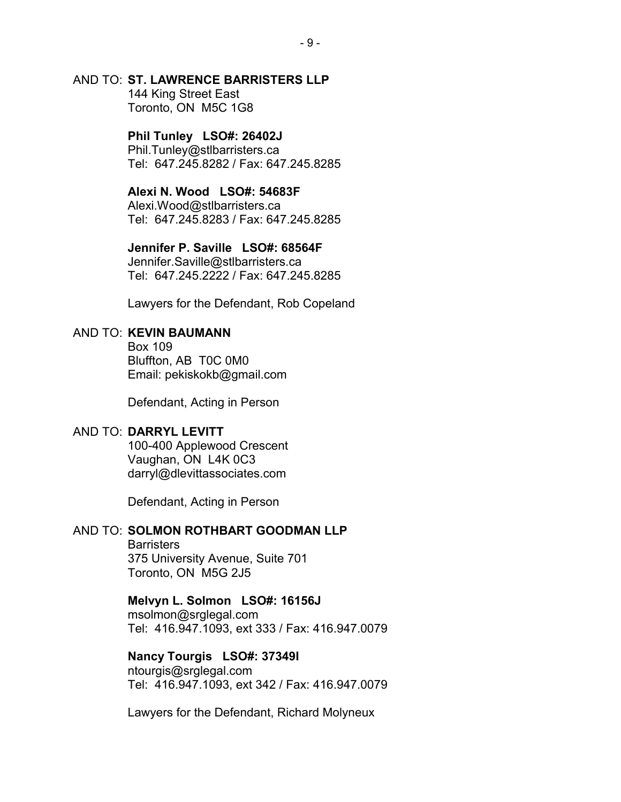## AND TO: **ST. LAWRENCE BARRISTERS LLP**

144 King Street East Toronto, ON M5C 1G8

# **Phil Tunley LSO#: 26402J**

Phil.Tunley@stlbarristers.ca Tel: 647.245.8282 / Fax: 647.245.8285

## **Alexi N. Wood LSO#: 54683F**

Alexi.Wood@stlbarristers.ca Tel: 647.245.8283 / Fax: 647.245.8285

# **Jennifer P. Saville LSO#: 68564F**

Jennifer.Saville@stlbarristers.ca Tel: 647.245.2222 / Fax: 647.245.8285

Lawyers for the Defendant, Rob Copeland

#### AND TO: **KEVIN BAUMANN**

Box 109 Bluffton, AB T0C 0M0 Email: pekiskokb@gmail.com

Defendant, Acting in Person

### AND TO: **DARRYL LEVITT**

100-400 Applewood Crescent Vaughan, ON L4K 0C3 darryl@dlevittassociates.com

Defendant, Acting in Person

## AND TO: **SOLMON ROTHBART GOODMAN LLP**

**Barristers** 375 University Avenue, Suite 701 Toronto, ON M5G 2J5

#### **Melvyn L. Solmon LSO#: 16156J**

msolmon@srglegal.com Tel: 416.947.1093, ext 333 / Fax: 416.947.0079

### **Nancy Tourgis LSO#: 37349I**

ntourgis@srglegal.com Tel: 416.947.1093, ext 342 / Fax: 416.947.0079

Lawyers for the Defendant, Richard Molyneux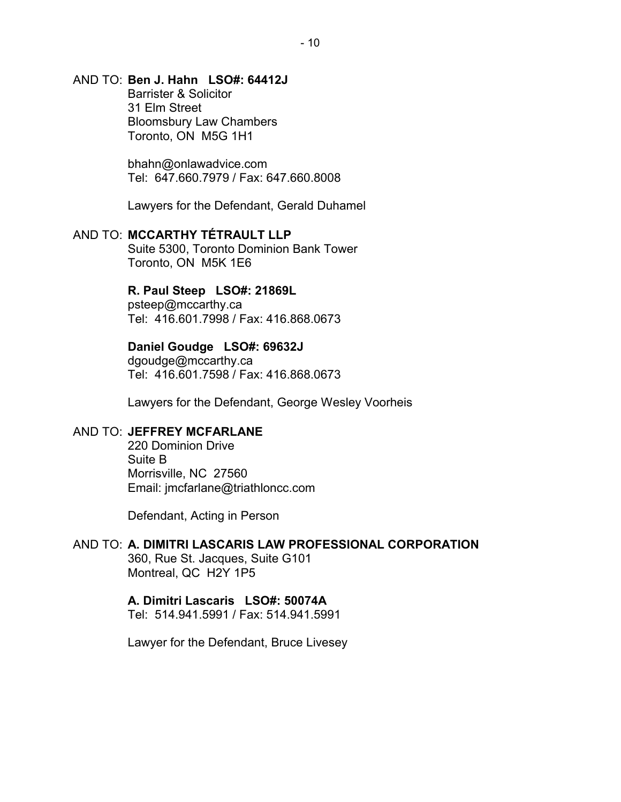# AND TO: **Ben J. Hahn LSO#: 64412J**

Barrister & Solicitor 31 Elm Street Bloomsbury Law Chambers Toronto, ON M5G 1H1

bhahn@onlawadvice.com Tel: 647.660.7979 / Fax: 647.660.8008

Lawyers for the Defendant, Gerald Duhamel

#### AND TO: **MCCARTHY TÉTRAULT LLP**

Suite 5300, Toronto Dominion Bank Tower Toronto, ON M5K 1E6

## **R. Paul Steep LSO#: 21869L**

psteep@mccarthy.ca Tel: 416.601.7998 / Fax: 416.868.0673

#### **Daniel Goudge LSO#: 69632J**

dgoudge@mccarthy.ca Tel: 416.601.7598 / Fax: 416.868.0673

Lawyers for the Defendant, George Wesley Voorheis

### AND TO: **JEFFREY MCFARLANE**

220 Dominion Drive Suite B Morrisville, NC 27560 Email: jmcfarlane@triathloncc.com

Defendant, Acting in Person

## AND TO: **A. DIMITRI LASCARIS LAW PROFESSIONAL CORPORATION**

360, Rue St. Jacques, Suite G101 Montreal, QC H2Y 1P5

#### **A. Dimitri Lascaris LSO#: 50074A**

Tel: 514.941.5991 / Fax: 514.941.5991

Lawyer for the Defendant, Bruce Livesey